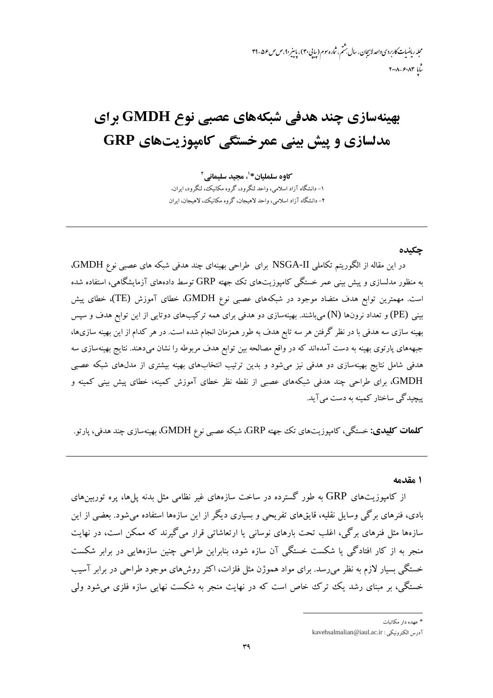مجله ریاضیات کاربردی واحد لاسچان ، سال مِثْتم ، شاره سوم (بیایی ۳۰) ، پاسپز ۹۰، ص ص ۵۶–۳۹  $r.A.-P.A.$ 

# بهینهسازی چند هدفی شبکههای عصبی نوع GMDH برای مدلسازی و پیش بینی عمر خستگی کامیوزیتهای GRP

كاوه سلمليان\*'، مجيد سليماني<sup>٬</sup> ۱- دانشگاه آزاد اسلامی، واحد لنگرود، گروه مکانیک، لنگرود، ایران، ۲- دانشگاه آزاد اسلامی، واحد لاهیجان، گروه مکانیک، لاهیجان، ایران

#### حكىدە

در این مقاله از الگوریتم تکاملی NSGA-II برای طراحی بهینهای چند هدفی شبکه های عصبی نوع GMDH، به منظور مدلسازی و پیش بینی عمر خستگی کامپوزیتهای تک جهته GRP توسط دادههای آزمایشگاهی، استفاده شده است. مهمترین توابع هدف متضاد موجود در شبکههای عصبی نوع GMDH، خطای آموزش (TE)، خطای پیش بینی (PE) و تعداد نرونها (N) میباشند. بهینهسازی دو هدفی برای همه ترکیبهای دوتایی از این توابع هدف و سپس بهینه سازی سه هدفی با در نظر گرفتن هر سه تابع هدف به طور همزمان انجام شده است. در هر کدام از این بهینه سازیها، جبهههای پارتوی بهینه به دست آمدهاند که در واقع مصالحه بین توابع هدف مربوطه را نشان میدهند. نتایج بهینهسازی سه هدفی شامل نتایج بهینهسازی دو هدفی نیز میشود و بدین ترتیب انتخابهای بهینه بیشتری از مدلهای شبکه عصبی GMDH، برای طراحی چند هدفی شبکههای عصبی از نقطه نظر خطای آموزش کمینه، خطای پیش بینی کمینه و ییچیدگی ساختار کمینه به دست میآید.

**کلمات کلِیدی:** خستگی، کامپوزیتهای تک جهته GRP، شبکه عصبی نوع GMDH، بهینهسازی چند هدفی، پارتو.

1 مقدمه

از کامپوزیتهای GRP به طور گسترده در ساخت سازههای غیر نظامی مثل بدنه پلها، پره توربینهای بادی، فنرهای برگی وسایل نقلیه، قایقهای تفریحی و بسیاری دیگر از این سازهها استفاده می شود. بعضی از این سازهها مثل فنرهای برگی، اغلب تحت بارهای نوسانی یا ارتعاشاتی قرار میگیرند که ممکن است، در نهایت منجر به از کار افتادگی یا شکست خستگی آن سازه شود، بنابراین طراحی چنین سازههایی در برابر شکست خستگی بسیار لازم به نظر می رسد. برای مواد هموژن مثل فلزات، اکثر روش های موجود طراحی در برابر آسیب خستگی، بر مبنای رشد یک ترک خاص است که در نهایت منجر به شکست نهایی سازه فلزی می شود ولی

<sup>\*</sup> عهده دار مکاتبات

kavehsalmalian@iaul.ac.ir : آدرس الكترونيكي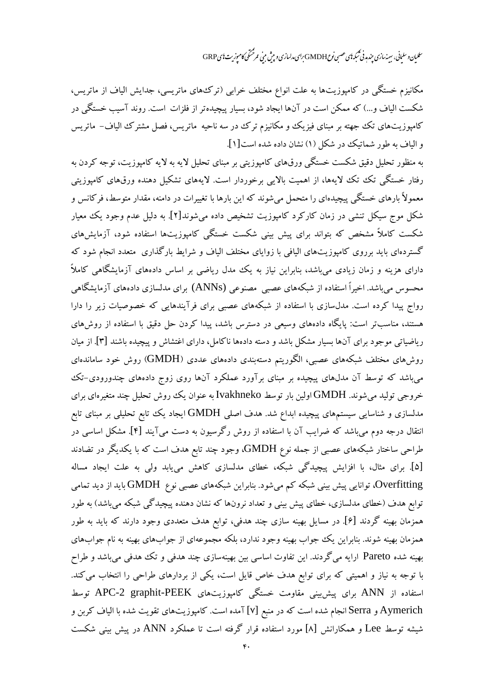سلىيان وسلىانى، بىيەنىازى جندىدنى تىكەناي عصبى نوع GMDH براي مدلسازى و پىش مىي عرضْمَى كامىوزىت ناي GRP

مکانیزم خستگی در کامپوزیتها به علت انواع مختلف خرابی (ترک های ماتریسی، جدایش الیاف از ماتریس، شکست الیاف و…) که ممکن است در آنها ایجاد شود، بسیار پیچیدهتر از فلزات است. روند آسیب خستگی در کامپوزیتهای تک جهته بر مبنای فیزیک و مکانیزم ترک در سه ناحیه ماتریس، فصل مشترک الیاف- ماتریس و الياف به طور شماتيک در شکل (۱) نشان داده شده است[۱].

به منظور تحلیل دقیق شکست خستگی ورقهای کامپوزیتی بر مبنای تحلیل لایه به لایه کامپوزیت، توجه کردن به رفتار خستگی تک تک لایهها، از اهمیت بالایی برخوردار است. لایههای تشکیل دهنده ورقهای کامپوزیتی معمولاً بارهای خستگی پیچیدهای را متحمل می شوند که این بارها با تغییرات در دامنه، مقدار متوسط، فرکانس و شکل موج سیکل تنشی در زمان کارکرد کامپوزیت تشخیص داده می شوند[۲]. به دلیل عدم وجود یک معیار شکست کاملاً مشخص که بتواند برای پیش بینی شکست خستگی کامپوزیتها استفاده شود، آزمایش،های گستردهای باید برروی کامپوزیتهای الیافی با زوایای مختلف الیاف و شرایط بارگذاری متعدد انجام شود که دارای هزینه و زمان زیادی می باشد، بنابراین نیاز به یک مدل ریاضی بر اساس دادههای آزمایشگاهی کاملاً محسوس می باشد. اخیراً استفاده از شبکههای عصبی مصنوعی (ANNs) برای مدلسازی دادههای آزمایشگاهی رواج پیدا کرده است. مدل $بازی با استفاده از شبکههای عصبی برای فرآیندهایی که خصوصیات زیر را دارا$ هستند، مناسبتر است: پایگاه دادههای وسیعی در دسترس باشد، پیدا کردن حل دقیق با استفاده از روشهای ریاضیاتی موجود برای آنها بسیار مشکل باشد و دسته دادهها ناکامل، دارای اغتشاش و پیچیده باشند [۳]. از میان روشهای مختلف شبکههای عصبی، الگوریتم دستهبندی دادههای عددی (GMDH) روش خود ساماندهای می باشد که توسط آن مدلهای پیچیده بر مبنای برآورد عملکرد آنها روی زوج دادههای چندورودی-تک خروجی تولید می شوند. GMDH اولین بار توسط Ivakhneko به عنوان یک روش تحلیل چند متغیرهای برای مدلسازی و شناسایی سیستمهای پیچیده ابداع شد. هدف اصلی  $\operatorname{GMDH}$  ایجاد یک تابع تحلیلی بر مبنای تابع انتقال درجه دوم میباشد که ضرایب آن با استفاده از روش رگرسیون به دست میآیند [۴]. مشکل اساسی در طراحی ساختار شبکههای عصبی از جمله نوع GMDH، وجود چند تابع هدف است که با یکدیگر در تضادند [۵]. برای مثال، با افزایش پیچیدگی شبکه، خطای مدلسازی کاهش می یابد ولی به علت ایجاد مساله Overfitting، توانایی پیش بینی شبکه کم می شود. بنابراین شبکههای عصبی نوع GMDH باید از دید تمامی توابع هدف (خطای مدلسازی، خطای پیش بینی و تعداد نرونها که نشان دهنده پیچیدگی شبکه میباشد) به طور همزمان بهینه گردند [۶]. در مسایل بهینه سازی چند هدفی، توابع هدف متعددی وجود دارند که باید به طور همزمان بهینه شوند. بنابراین یک جواب بهینه وجود ندارد، بلکه مجموعهای از جوابهای بهینه به نام جوابهای بهینه شده Pareto ارایه میگردند. این تفاوت اساسی بین بهینهسازی چند هدفی و تک هدفی میباشد و طراح با توجه به نیاز و اهمیتی که برای توابع هدف خاص قایل است، یکی از بردارهای طراحی را انتخاب می کند. استفاده از ANN برای پیش بینی مقاومت خستگی کامپوزیتهای APC-2 graphit-PEEK توسط Aymerich و Serra انجام شده است که در منبع [۷] آمده است. کامپوزیتهای تقویت شده با الیاف کربن و شیشه توسط Lee و همکارانش [۸] مورد استفاده قرار گرفته است تا عملکرد ANN در پیش بینی شکست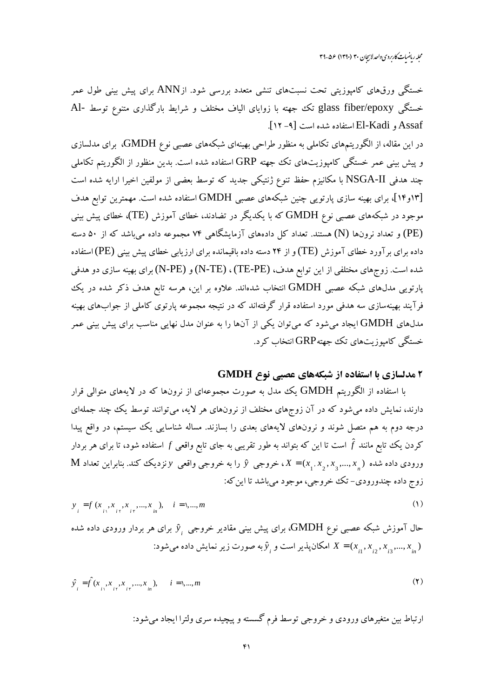محله رماضات کاربردی واحد لاسچان ۳۰ (۱۳۹۰) ع۵-۳۹

خستگی ورقهای کامپوزیتی تحت نسبتهای تنشی متعدد بررسی شود. ازANN برای پیش بینی طول عمر خستگی glass fiber/epoxy تک جهته با زوایای الیاف مختلف و شرایط بارگذاری متنوع توسط -Al Assaf و El-Kadi استفاده شده است [٩- ١٢].

در این مقاله، از الگوریتمهای تکاملی به منظور طراحی بهینهای شبکههای عصبی نوع GMDH، برای مدلسازی و پیش بینی عمر خستگی کامپوزیتهای تک جهته GRP استفاده شده است. بدین منظور از الگوریتم تکاملی چند هدفی NSGA-II با مکانیزم حفظ تنوع ژنتیکی جدید که توسط بعضی از مولفین اخیرا ارایه شده است [۱۳و۱۳]، برای بهینه سازی پارتویی چنین شبکههای عصبی GMDH استفاده شده است. مهمترین توابع هدف موجود در شبکههای عصبی نوع GMDH که با یکدیگر در تضادند، خطای آموزش (TE)، خطای پیش بینی (PE) و تعداد نرونها (N) هستند. تعداد کل دادههای آزمایشگاهی ۷۴ مجموعه داده میباشد که از ۵۰ دسته داده برای برآورد خطای آموزش (TE) و از ۲۴ دسته داده باقیمانده برای ارزیابی خطای پیش بینی (PE) استفاده شده است. زوجهای مختلفی از این توابع هدف، (TE-PE) ، (N-TE) و (N-PE) برای بهینه سازی دو هدفی پارتویی مدلهای شبکه عصبی GMDH انتخاب شدهاند. علاوه بر این، هرسه تابع هدف ذکر شده در یک فرآیند بهینهسازی سه هدفی مورد استفاده قرار گرفتهاند که در نتیجه مجموعه پارتوی کاملی از جوابهای بهینه مدلهای GMDH ایجاد می شود که می توان یکی از آنها را به عنوان مدل نهایی مناسب برای پیش بینی عمر خستگی کامبوز ستھای تک جهته $\operatorname{GRP}$  انتخاب کر د.

## **۲ مدلسازی با استفاده از شبکههای عصبی نوع GMDH**

با استفاده از الگوریتم GMDH یک مدل به صورت مجموعهای از نرونها که در لایههای متوالی قرار دارند، نمایش داده میشود که در آن زوجهای مختلف از نرونهای هر لایه، میتوانند توسط یک چند جملهای درجه دوم به هم متصل شوند و نرونهای لایههای بعدی را بسازند. مساله شناسایی یک سیستم، در واقع پیدا کردن یک تابع مانند  $\hat{f}$  است تا این که بتواند به طور تقریبی به جای تابع واقعی  $f$  استفاده شود، تا برای هر بردار  $M$  ورودی داده شده  $x_1, x_2, x_3, ..., x_N$  خروجی و ابه خروجی واقعی  $y$  نزدیک کند. بنابراین تعداد زوج داده چندورودي- تک خروجي، موجود مي باشد تا اين که:

$$
y_{i} = f(x_{i}, x_{i}, x_{i}, ..., x_{i})
$$
\n
$$
i = 1, ..., m
$$
\n(1)

حال آموزش شبکه عصبی نوع  $\operatorname{GMDH}$ ، برای پیش بینی مقادیر خروجی  $\hat{\text{y}}$  برای هر بردار ورودی داده شده امکان پذیر است و  $\hat{y}$  به صورت زیر نمایش داده میشود:  $X = (x_{i_1}, x_{i_2}, x_{i_3},..., x_{i_n})$ 

$$
\hat{y}_{i} = \hat{f}(x_{i}, x_{i}, x_{i}, ..., x_{in}), \quad i = 1, ..., m
$$
\n(7)

ارتباط بین متغیرهای ورودی و خروجی توسط فرم گسسته و پیچیده سری ولترا ایجاد میشود: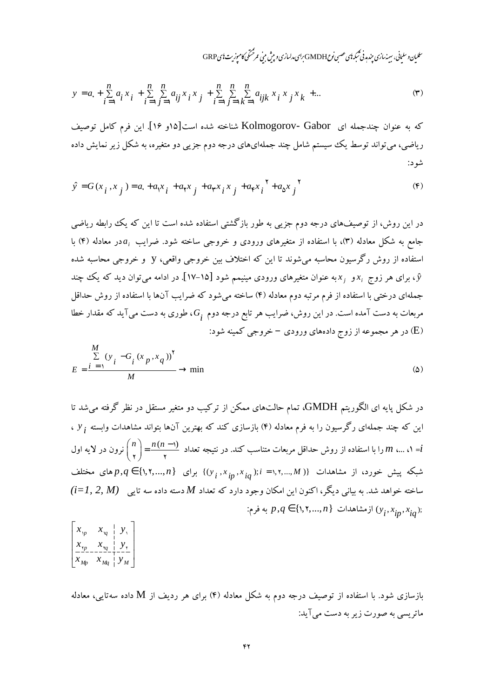سلىيان وسلىانى، بىيەنىازى جندىدنى ئىكمەنى عصبى نوع GMDH براى مداسازى و بېش مېر ئىمتى كاموزىت بى GRP

$$
y = a_{i} + \sum_{i=1}^{n} a_{i} x_{i} + \sum_{i=1}^{n} \sum_{j=1}^{n} a_{ij} x_{i} x_{j} + \sum_{i=1}^{n} \sum_{j=1}^{n} \sum_{k=1}^{n} a_{ijk} x_{i} x_{j} x_{k} + ... \tag{7}
$$

که به عنوان چندجمله ای Kolmogorov- Gabor شناخته شده است[۱۵و ۱۶]. این فرم کامل توصیف ریاضی، می تواند توسط یک سیستم شامل چند جملهایهای رجه دوم جزیبی دو متغیره، به شکل زیر نمایش داده شو د:

$$
\hat{y} = G(x_i, x_j) = a + a_1 x_i + a_2 x_j + a_3 x_i x_j + a_4 x_i + a_5 x_i + a_6 x_j
$$
\n<sup>(\*)</sup>

در این روش، از توصیفهای درجه دوم جزیی به طور بازگشتی استفاده شده است تا این که یک رابطه ریاضی جامع به شکل معادله (۳)، با استفاده از متغیرهای ورودی و خروجی ساخته شود. ضرایب  $a_i$ در معادله (۴) با استفاده از روش رگرسیون محاسبه میشوند تا این که اختلاف بین خروجی واقعی، y و خروجی محاسبه شده .<br>۷۰ برای هر زوج  $x_i$ و  $x_j$ به عنوان متغیرهای ورودی مینیمم شود [۱۵–۱۷]. در ادامه می $\vec{v}$ ون دید که یک چند جملهای درختی با استفاده از فرم مرتبه دوم معادله (۴) ساخته می شود که ضرایب آنها با استفاده از روش حداقل مربعات به دست آمده است. در این روش، ضرایب هر تابع درجه دوم  $G_i$ ، طوری به دست میآید که مقدار خطا (E) در هر مجموعه از زوج دادههای ورودی – خروجی کمینه شود:

$$
E = \frac{\sum_{i=1}^{M} (y_i - G_i (x_p, x_q))^{\mathsf{T}}}{M} \to \min
$$
 (6)

در شکل پایه ای الگوریتم GMDH، تمام حالتهای ممکن از ترکیب دو متغیر مستقل در نظر گرفته می شد تا این که چند جملهای رگرسیون را به فرم معادله (۴) بازسازی کند که بهترین آنها بتواند مشاهدات وابسته ; y ، د...،  $m$  را با استفاده از روش حداقل مربعات متناسب کند. در نتیجه تعداد  $\left(\frac{n}{r}\right)=\frac{n(n-1)}{r}$ نرون در لایه اول  $i$ شبکه پیش خورد، از مشاهدات {(  $p, q \in \{1, 1, ..., n\}$  برای {(  $y_i, x_{in}, x_{in}$  }), شبکه پیش خورد، از مشاهدات {(  $p, q \in \{1, 1, ..., n\}$  برای  $(i=1, 2, M)$  ساخته خواهد شد. به بیانی دیگر، اکنون این امکان وجود دارد که تعداد  $M$  دسته داده سه تایی نزمشاهدات  $p,q \in \{1,1,...,n\}$  به فرم: ( $y_j, x_{in}, x_{i,j}$ );

$$
\begin{bmatrix} x_{\nu} & x_{\nu} & y_{\nu} \\ x_{\nu} & x_{\nu} & y_{\nu} \\ x_{\nu} & x_{\nu} & y_{\nu} \\ x_{\nu} & x_{\nu} & y_{\nu} \end{bmatrix}
$$

 $\overline{11}$ 

بازسازی شود. با استفاده از توصیف درجه دوم به شکل معادله (۴) برای هر ردیف از M داده سهتایی، معادله ماتریسی به صورت زیر به دست می آید: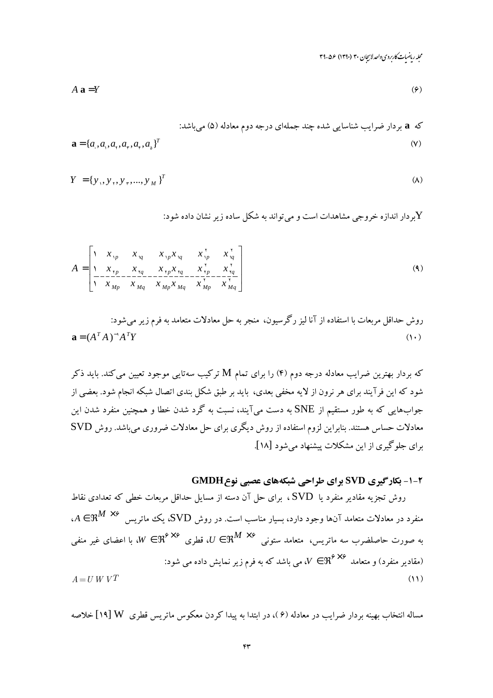مجله ریاضیات کاربردی واحد لاسچان ۳۰ (۱۳۹۰) ع۵-۳۹

$$
A \mathbf{a} = Y \tag{9}
$$

$$
Y = \{y_1, y_2, y_3, ..., y_M\}^T
$$
 (A)

بر دار اندازه خروجی مشاهدات است و می تواند به شکل ساده زیر نشان داده شود:  ${\rm Y}$ 

$$
A = \begin{bmatrix} x_{vp} & x_{vq} & x_{vp}x_{vq} & x_{vp}^{\mathsf{T}} & x_{vq}^{\mathsf{T}} \\ x_{vp} & x_{vp} & x_{vq} & x_{vp}x_{vq} & x_{vp}^{\mathsf{T}} \\ x_{vp} & x_{vp} & x_{mq} & x_{hp}x_{mq} & x_{hp}^{\mathsf{T}} & x_{mq}^{\mathsf{T}} \end{bmatrix}
$$
 (9)

روش حداقل مربعات با استفاده از آنا لیز رگرسیون، منجر به حال معادلات متمامد به فرم زیر میشود:  
(۱۰) 
$$
\mathbf{a} = (A^T A)^{-1} A^T Y
$$

که بردار بهترین ضرایب معادله درجه دوم (۴) را برای تمام  ${\rm M}$  ترکیب سهتایی موجود تعیین می کند. باید ذکر شود که این فرآیند برای هر نرون از لایه مخفی بعدی، باید بر طبق شکل بندی اتصال شبکه انجام شود. بعضی از جوابهایی که به طور مستقیم از SNE به دست میآیند، نسبت به گرد شدن خطا و همچنین منفرد شدن این معادلات حساس هستند. بنابراین لزوم استفاده از روش دیگری برای حل معادلات ضروری می باشد. روش SVD برای جلوگیری از این مشکلات پیشنهاد می شود [۱۸].

## **2-1- بکارگیری SVD برای طراحی شبکههای عصبی نوع GMDH**

روش تجزیه مقادیر منفرد یا SVD، برای حل آن دسته از مسایل حداقل مربعات خطی که تعدادی نقاط  $A\in \mathfrak{R}^M\times$ منفرد در معادلات متعامد آنها وجود دارد، بسیار مناسب است. در روش SVD، یک ماتریس  $\mathfrak{R}^M\times \mathfrak{R}$ ، به صورت حاصلضرب سه ماتریس، متعامد ستونی  $\mathbb{R}^M\times S$ ، قطری  $\mathbb{R}^{S\times S}$ ، با اعضای غیر منفی (مقادیر منفرد) و متعامد  $\aleph^{\varphi\times\varphi}$ ، می باشد که به فرم زیر نمایش داده می شود:  $A = U W V T$  $(11)$ 

مساله انتخاب بهینه بردار ضرایب در معادله (۶)، در ابتدا به پیدا کردن معکوس ماتریس قطری W [۱۹] خلاصه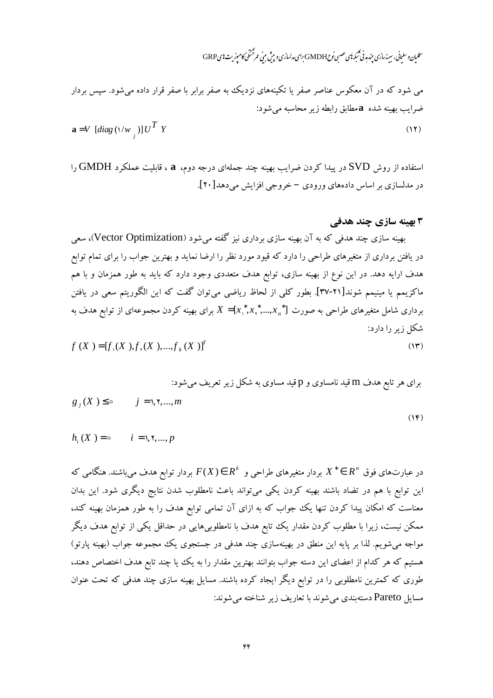## سلىيان وسلىانى، بىيەنەمازى جندىدنى ئىكمەنى عصبى نوع GMDH براى مدلسازى و پېش مېي عرضّتى كاموزىت ناى GRP

می شود که در آن معکوس عناصر صفر یا تکینههای نزدیکی به صفر برابر با صفر قرار داده میشود. سپس بردار  
ضرایب بهینه شده هطابق رابطه زیر محاسبه میشود:  
**a** =V [diag (1/w<sub>)</sub>)]
$$
UT Y
$$

استفاده از روش SVD در پیدا کردن ضرایب بهینه چند جملهای درجه دوم، a ، قابلیت عملکرد  $\operatorname{GMDH}$  را در مدلسازی بر اساس دادههای ورودی – خروجی افزایش می دهد[۲۰].

#### ۳ بهينه سازي چند هدفي

 $(1)$ 

بهینه سازی چند هدفی که به آن بهینه سازی برداری نیز گفته میشود (Vector Optimization)، سعی در یافتن برداری از متغیرهای طراحی را دارد که قیود مورد نظر را ارضا نماید و بهترین جواب را برای تمام توابع هدف ارایه دهد. در این نوع از بهینه سازی، توابع هدف متعددی وجود دارد که باید به طور همزمان و با هم ماکزیمم یا مینیمم شوند[۲۱-۳۷]. بطور کلبی از لحاظ ریاضی میتوان گفت که این الگوریتم سعی در یافتن برداری شامل متغیرهای طراحی به صورت  $X$ تی...,\*,\*,\*,\_=[x\_(x,\*,...,,x,\*) برای بهینه کردن مجموعهای از توابع هدف به شکل زیر را دارد:  $\mathcal{W}$  $\mathcal{f}$ 

$$
f(X) = [f_1(X), f_2(X), \dots, f_k(X)]^t
$$

برای هر تابع هدف m قید نامساوی و p قید مساوی به شکل زیر تعریف می شود:

$$
g_j(X) \leq \circ \qquad j = 1, 1, \dots, m
$$

$$
h_i(X) = \circ \qquad i = 1, 1, \dots, p
$$

در عبارتهای فوق  $R^n$   $R$  بردار متغیرهای طراحی و  $R^k$   $\in$  بردار توابع هدف می باشند. هنگامی که این توابع با هم در تضاد باشند بهینه کردن یکی میتواند باعث نامطلوب شدن نتایج دیگری شود. این بدان معناست که امکان پیدا کردن تنها یک جواب که به ازای آن تمامی توابع هدف را به طور همزمان بهینه کند، ممکن نیست، زیرا با مطلوب کردن مقدار یک تابع هدف با نامطلوبیهایی در حداقل یکی از توابع هدف دیگر مواجه میشویم. لذا بر پایه این منطق در بهینهسازی چند هدفی در جستجوی یک مجموعه جواب (بهینه پارتو) هستیم که هر کدام از اعضای این دسته جواب بتوانند بهترین مقدار را به یک یا چند تابع هدف اختصاص دهند، طوری که کمترین نامطلوبی را در توابع دیگر ایجاد کرده باشند. مسایل بهینه سازی چند هدفی که تحت عنوان مسایل Pareto دستهبندی می شوند با تعاریف زیر شناخته می شوند: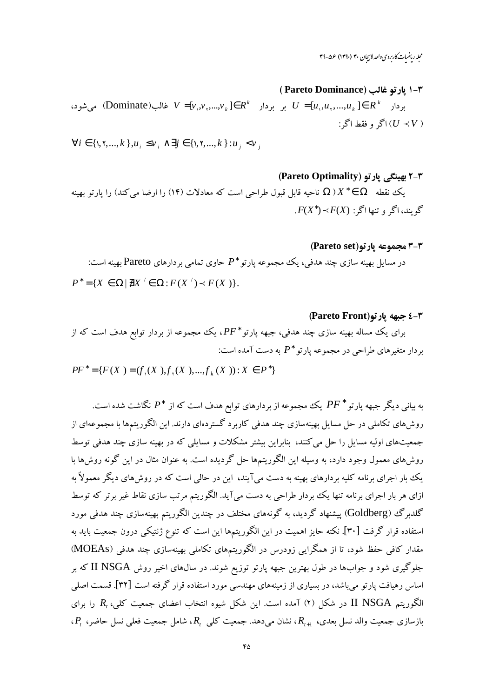محله رماضات کاربردی واحد لاسچان ۳۰ (۱۳۹۰) ع۵-۳۹

١-٣ يارتو غالب (Pareto Dominance)  $V = [v_1, v_2, ..., v_k] \in R^k$  بر دار  $U = [u_1, u_2, ..., u_k] \in R^k$  غالب (Dominate) می شود،  $\mathbb{R}$  (  $U \prec V$  ) اگر و فقط اگر $)$ 

 $\forall i \in \{1, 1, ..., k\}, u_i \leq v_i \land \exists j \in \{1, 1, ..., k\} : u_i \leq v_i$ 

#### ۲-۳ بهینگی یارتو (Pareto Optimality)

یک نقطه  $X^*\in \Omega$  ( تاجیه قابل قبول طراحی است که معادلات (۱۴) را ارضا می کند) را پارتو بهینه  $F(X^*)$ گویند، اگر و تنها اگر $F(X):$ 

$$
\mathsf{Pareto\text{-}H}\ \ \text{perto\text{-}H}\ \ \text{perto\text{-}H}\ \ \text{perto\text{-}H}\ \ \text{perto\text{-}H}\ \ \text{perto\text{-}H}\ \ \text{perto\text{-}H}\ \ \text{perto\text{-}H}\ \ \text{perto\text{-}H}\ \ \text{perto\text{-}H}\ \ \text{areto\text{-}H}\ \ \text{areto\text{-}H}\ \ \text{areto\text{-}H}\ \ \text{areto\text{-}H}\ \ \text{areto\text{-}H}\ \ \text{areto\text{-}H}\ \ \text{areto\text{-}H}\ \ \text{areto\text{-}H}\ \ \text{areto\text{-}H}\ \ \text{areto\text{-}H}\ \ \text{areto\text{-}H}\ \ \text{areto\text{-}H}\ \ \text{areto\text{-}H}\ \ \text{areto\text{-}H}\ \ \text{areto\text{-}H}\ \ \text{areto\text{-}H}\ \ \text{areto\text{-}H}\ \ \text{areto\text{-}H}\ \ \text{areto\text{-}H}\ \ \text{areto\text{-}H}\ \ \text{areto\text{-}H}\ \ \text{areto\text{-}H}\ \ \text{areto\text{-}H}\ \ \text{areto\text{-}H}\ \ \text{areto\text{-}H}\ \ \text{areto\text{-}H}\ \ \text{areto\text{-}H}\ \ \text{areto\text{-}H}\ \ \text{areto\text{-}H}\ \ \text{areto\text{-}H}\ \ \text{areto\text{-}H}\ \ \text{areto\text{-}H}\ \ \text{areto\text{-}H}\ \ \text{areto\text{-}H}\ \ \text{areto\text{-}H}\ \ \text{areto\text{-}H}\ \ \text{areto\text{-}H}\ \ \text{areto\text{-}H}\ \ \text{areto\text{-}H}\ \ \text{areto\text{-}H}\ \ \text{areto\text{-}H}\ \ \text{areto\text{-}H}\ \ \text{areto\text{-}H}\ \ \text{areto\text{-}H}\ \ \text{areto\text{-}H}\ \ \text{areto\text{-}H}\ \ \text{areto\text{-}H}\ \ \text{areto\text{-}H}\ \ \text{areto\text{-}H}\ \ \text{areto\text{-}H}\ \ \text{areto\text{-}H}\ \ \text{areto\text{-}H}\ \ \text{areto\text{-}H}\ \ \
$$

#### ۴-٤ جبهه يارتو(Pareto Front)

برای یک مساله بهینه سازی چند هدفی، جبهه پارتو \*PF، یک مجموعه از بردار توابع هدف است که از بردار متغیرهای طراحی در مجموعه پارتو \*P به دست آمده است:

$$
PF^* = \{ F(X) = (f,(X),f,(X),...,f_k(X)) : X \in P^* \}
$$

به بیانی دیگر جبهه پارتو \* PF یک مجموعه از بردارهای توابع هدف است که از  $P^*$  نگاشت شده است. روشهای تکاملی در حل مسایل بهینهسازی چند هدفی کاربرد گستردهای دارند. این الگوریتمها با مجموعهای از جمعیتهای اولیه مسایل را حل میکنند، بنابراین بیشتر مشکلات و مسایلی که در بهینه سازی چند هدفی توسط روشهای معمول وجود دارد، به وسیله این الگوریتمها حل گردیده است. به عنوان مثال در این گونه روشها با یک بار اجرای برنامه کلیه بردارهای بهینه به دست میآیند، این در حالی است که در روشهای دیگر معمولاً به ازای هر بار اجرای برنامه تنها یک بردار طراحی به دست میآید. الگوریتم مرتب سازی نقاط غیر برتر که توسط گلدبرگ (Goldberg) پیشنهاد گردید، به گونههای مختلف در چندین الگوریتم بهینهسازی چند هدفی مورد استفاده قرار گرفت [۳۰]. نکته حایز اهمیت در این الگوریتمها این است که تنوع ژنتیکی درون جمعیت باید به مقدار کافی حفظ شود، تا از همگرایی زودرس در الگوریتمهای تکاملی بهینهسازی چند هدفی (MOEAs) جلوگیری شود و جوابها در طول بهترین جبهه پارتو توزیع شوند. در سال%ای اخیر روش II NSGA که بر اساس رهیافت پارتو می،باشد، در بسیاری از زمینههای مهندسی مورد استفاده قرار گرفته است [۳۲]. قسمت اصلی الگوریتم II NSGA در شکل (۲) آمده است. این شکل شیوه انتخاب اعضای جمعیت کلی، ,R را برای ، بازسازی جمعیت والد نسل بعدی،  $R_{t+1}$ ، نشان می دهد. جمعیت کلی  $R_t$ ، شامل جمعیت فعلی نسل حاضر،  $P_t$ ،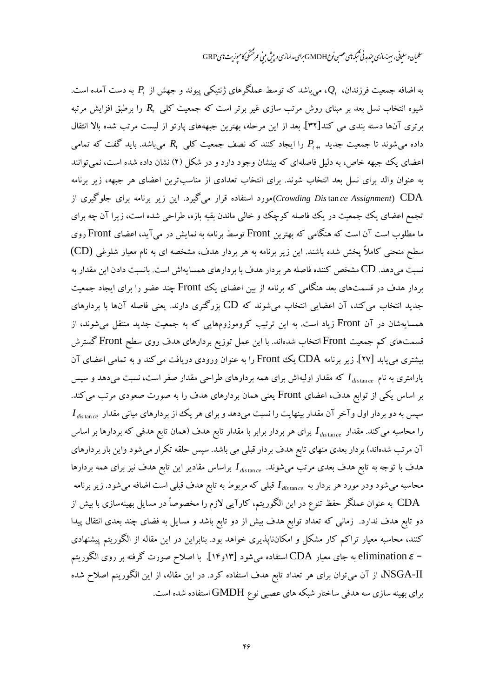سلىيان وسلىانى، بىيەنىازى جندىدنى تىكەناي عصبى نوع GMDH براي مدلسازى و پىش مىي عرضْمَى كامىوزىت ناي GRP

به اضافه جمعیت فرزندان،  $Q_t$ ، می باشد که توسط عملگرهای ژنتیکی پیوند و جهش از  $P_t$  به دست آمده است. شیوه انتخاب نسل بعد بر مبنای روش مرتب سازی غیر برتر است که جمعیت کلبی  $R$  را برطبق افزایش مرتبه برتری آنها دسته بندی می کند[۳۲]. بعد از این مرحله، بهترین جبهههای پارتو از لیست مرتب شده بالا انتقال داده میشوند تا جمعیت جدید  $P_{_{t+1}}$  را ایجاد کنند که نصف جمعیت کلی  $R_{_t}$  میباشد. باید گفت که تمامی اعضای یک جبهه خاص، به دلیل فاصلهای که بینشان وجود دارد و در شکل (۲) نشان داده شده است، نمی توانند به عنوان والد برای نسل بعد انتخاب شوند. برای انتخاب تعدادی از مناسبترین اعضای هر جبهه، زیر برنامه Crowding Distance Assignment) CDA)مورد استفاده قرار میگیرد. این زیر برنامه برای جلوگیری از تجمع اعضای یک جمعیت در یک فاصله کوچک و خالی ماندن بقیه بازه، طراحی شده است، زیرا آن چه برای ما مطلوب است آن است که هنگامی که بهترین Front توسط برنامه به نمایش در میآید، اعضای Front روی سطح منحنی کاملاً پخش شده باشند. این زیر برنامه به هر بردار هدف، مشخصه ای به نام معیار شلوغی (CD) نسبت میدهد. CD مشخص کننده فاصله هر بردار هدف با بردارهای همسایهاش است. بانسبت دادن این مقدار به بردار هدف در قسمتهای بعد هنگامی که برنامه از بین اعضای یک Front چند عضو را برای ایجاد جمعیت جدید انتخاب می کند، آن اعضایی انتخاب میشوند که CD بزرگتری دارند. یعنی فاصله آنها با بردارهای همسایهشان در آن Front زیاد است. به این ترتیب کروموزومهایی که به جمعیت جدید منتقل میشوند، از قسمتهای کم جمعیت Front انتخاب شدهاند. با این عمل توزیع بردارهای هدف روی سطح Front گسترش بیشتری می یابد [۲۷]. زیر برنامه CDA یک Front را به عنوان ورودی دریافت می کند و به تمامی اعضای آن پارامتری به نام  $I_{\textit{dist} \textit{ana} \textit{real}}$  که مقدار اولیهاش برای همه بردارهای طراحی مقدار صفر است، نسبت میدهد و سپس بر اساس یکی از توابع هدف، اعضای Front یعنی همان بردارهای هدف را به صورت صعودی مرتب می کند.  $I_{\text{distance}}$  سپس به دو بردار اول وآخر آن مقدار بینهایت را نسبت میدهد و برای هر یک از بردارهای میانی مقدار را محاسبه می کند. مقدار Idistance برای هر بردار برابر با مقدار تابع هدف (همان تابع هدفی که بردارها بر اساس .<br>آن مرتب شدهاند) بردار بعدی منهای تابع هدف بردار قبلی می باشد. سپس حلقه تکرار میشود واین بار بردارهای هدف با توجه به تابع هدف بعدی مرتب میشوند.  $I_{\it{distance}}$  براساس مقادیر این تابع هدف نیز برای همه بردارها محاسبه میشود ودر مورد هر بردار به  $I_{\textit{distance}}$  قبلی که مربوط به تابع هدف قبلی است اضافه میشود. زیر برنامه CDA به عنوان عملگر حفظ تنوع در این الگوریتم، کارآیی لازم را مخصوصاً در مسایل بهینهسازی با بیش از دو تابع هدف ندارد. زمانی که تعداد توابع هدف بیش از دو تابع باشد و مسایل به فضای چند بعدی انتقال پیدا کنند، محاسبه معیار تراکم کار مشکل و امکانناپذیری خواهد بود. بنابراین در این مقاله از الگوریتم پیشنهادی به جای معیار CDA استفاده میشود [۱۳و۱۴]. با اصلاح صورت گرفته بر روی الگوریتم elimination  $\varepsilon-$ NSGA-II، از آن می توان برای هر تعداد تابع هدف استفاده کرد. در این مقاله، از این الگوریتم اصلاح شده برای بهینه سازی سه هدفی ساختار شبکه های عصبی نوع GMDH استفاده شده است.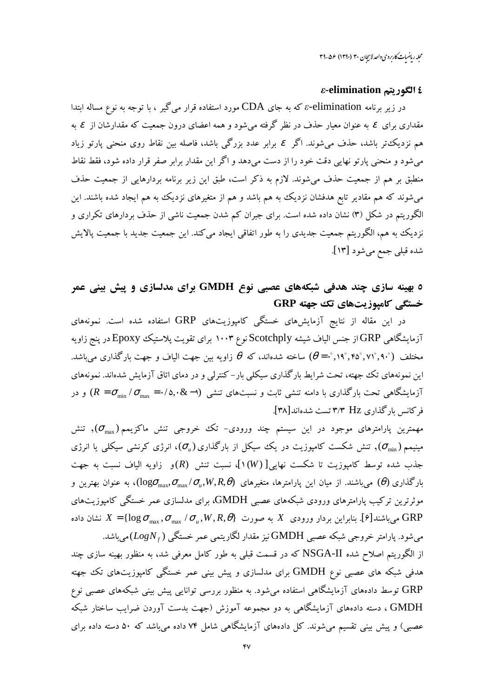محله رماضات کاربردی واحدلاسچان ۳۰ (۱۳۹۰) عره-۳۹

#### ٤ الگور بتم elimination،

در زیر برنامه elimination£ که به جای CDA مورد استفاده قرار میگیر ، با توجه به نوع مساله ابتدا مقداری برای  $\varepsilon$  به عنوان معیار حذف در نظر گرفته می شود و همه اعضای درون جمعیت که مقدارشان از  $\varepsilon$  به هم نزدیک تر باشد، حذف می شوند. اگر ع برابر عدد بزرگی باشد، فاصله بین نقاط روی منحنی پارتو زیاد میشود و منحنی پارتو نهایی دقت خود را از دست میدهد و اگر این مقدار برابر صفر قرار داده شود، فقط نقاط منطبق بر هم از جمعیت حذف می شوند. لازم به ذکر است، طبق این زیر برنامه بردارهایی از جمعیت حذف میشوند که هم مقادیر تابع هدفشان نزدیک به هم باشد و هم از متغیرهای نزدیک به هم ایجاد شده باشند. این الگوریتم در شکل (۳) نشان داده شده است. برای جبران کم شدن جمعیت ناشی از حذف بردارهای تکراری و نزدیک به هم، الگوریتم جمعیت جدیدی را به طور اتفاقی ایجاد می کند. این جمعیت جدید با جمعیت پالایش شده قبلي جمع مي شود [١٣].

## ه بهینه سازی چند هدفی شبکههای عصبی نوع GMDH برای مدلسازی و پیش بینی عمر خستگی کامیوزیتهای تک جهته GRP

در این مقاله از نتایج آزمایشهای خستگی کامپوزیتهای GRP استفاده شده است. نمونههای آزمایشگاهی GRP از جنس الیاف شیشه Scotchply نوع ۱۰۰۳ برای تقویت پلاستیک Epoxy در پنج زاویه مختلف (°۰٫۱۹°٬۴۵°٬۲۱۰ ساخته شدهاند، که  $\theta$  زاویه بین جهت الیاف و جهت بارگذاری میباشد. این نمونههای تک جهته، تحت شرایط بارگذاری سیکلی بار– کنترلی و در دمای اتاق آزمایش شدهاند. نمونههای آزمایشگاهی تحت بارگذاری با دامنه تنشی ثابت و نسبتهای تنشی (۱– & ۰/۵٫۰)  $\sigma_{\text{max}} = 1$  و در (R =  $\sigma_{\text{min}}$ فر کانس بارگذاری HZ ۳/۳ تست شدهاند[۳۸].

مهمترین پارامترهای موجود در این سیستم چند ورودی– تک خروجی تنش ماکزیمم $(\sigma_{\text{max}})$ , تنش مینیمم ( $\sigma_{\min}$ ), تنش شکست کامپوزیت در یک سیکل از بارگذاری ( $\sigma_u$ )، انرژی کرنشی سیکلی یا انرژی جذب شده توسط کامپوزیت تا شکست نهایی[ $\lceil(W)\rceil\ldots$  نسبت تنش  $(R)$ و زاویه الیاف نسبت به جهت بارگذاری ( $\theta$ ) میباشند. از میان این پارامترها، متغیرهای  $\sigma_{\rm max}/\sigma_{\rm max}/\sigma_{\rm max}/\sigma_{\rm max}$ )، به عنوان بهترین و موثرترین ترکیب پارامترهای ورودی شبکههای عصبی GMDH، برای مدلسازی عمر خستگی کامپوزیتهای می باشند[۶]. بنابراین بردار ورودی  $X$  به صورت  $\sigma_{\rm max}$  /  $\sigma_{\rm max}$  /  $\sigma_{\rm max}$  /  $\sigma_{\rm max}$  / می باشند[۶]. بنابراین بردار ورودی  $X$  به صورت  ${\rm GRP}$ 

می شود. یارامتر خروجی شبکه عصبی  $\operatorname{GMDH}$ نیز مقدار لگاریتمی عمر خستگی  $\left(LogN_{_f}\right)$ می باشد. از الگوریتم اصلاح شده NSGA-II که در قسمت قبلی به طور کامل معرفی شد، به منظور بهینه سازی چند هدفی شبکه های عصبی نوع GMDH برای مدلسازی و پیش بینی عمر خستگی کامپوزیتهای تک جهته GRP توسط دادههای آزمایشگاهی استفاده میشود. به منظور بررسی توانایی پیش بینی شبکههای عصبی نوع GMDH ، دسته دادههای آزمایشگاهی به دو مجموعه آموزش (جهت بدست آوردن ضرایب ساختار شبکه عصبی) و پیش بینی تقسیم میشوند. کل دادههای آزمایشگاهی شامل ۷۴ داده میباشد که ۵۰ دسته داده برای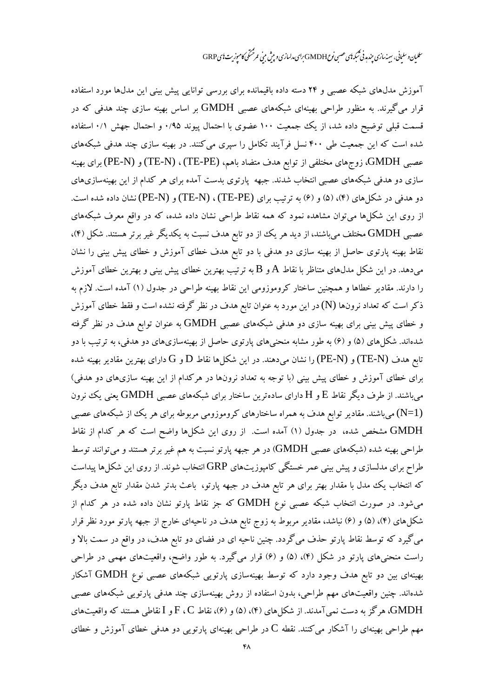سلىيان وسلىانى، بىيەنىازى جندىدنى تىكەناي عصبى نوع GMDH براي مدلسازى و پىش مىي عرضْمَى كامىوزىت ناي GRP

آموزش مدلهای شبکه عصبی و ۲۴ دسته داده باقیمانده برای بررسی توانایی پیش بینی این مدلها مورد استفاده قرار میگیرند. به منظور طراحی بهینهای شبکههای عصبی  $\operatorname{GMDH}$  بر اساس بهینه سازی چند هدفی که در قسمت قبلی توضیح داده شد، از یک جمعیت ۱۰۰ عضوی با احتمال پیوند ۰/۹۵ و احتمال جهش ۰/۱ استفاده شده است که این جمعیت طی ۴۰۰ نسل فرآیند تکامل را سپری میکنند. در بهینه سازی چند هدفی شبکههای عصبی GMDH، زوجهای مختلفی از توابع هدف متضاد باهم، (TE-PE) ، (TE-N) و (PE-N) برای بهینه سازی دو هدفی شبکههای عصبی انتخاب شدند. جبهه پارتوی بدست آمده برای هر کدام از این بهینهسازیهای دو هدفی در شکلهای (۴)، (۵) و (۶) به ترتیب برای (TE-PE) ، (TE-N) و (PE-N) نشان داده شده است. از روی این شکلها میتوان مشاهده نمود که همه نقاط طراحی نشان داده شده، که در واقع معرف شبکههای عصبی GMDH مختلف میباشند، از دید هر یک از دو تابع هدف نسبت به یکدیگر غیر برتر هستند. شکل (۴)، نقاط بهینه پارتوی حاصل از بهینه سازی دو هدفی با دو تابع هدف خطای آموزش و خطای پیش بینی را نشان میدهد. در این شکل مدلهای متناظر با نقاط A و B به ترتیب بهترین خطای پیش بینی و بهترین خطای آموزش را دارند. مقادیر خطاها و همچنین ساختار کروموزومی این نقاط بهینه طراحی در جدول (۱) آمده است. لازم به ذکر است که تعداد نرونها (N) در این مورد به عنوان تابع هدف در نظر گرفته نشده است و فقط خطای آموزش و خطای پیش بینی برای بهینه سازی دو هدفی شبکههای عصبی GMDH به عنوان توابع هدف در نظر گرفته شدهاند. شکل های (۵) و (۶) به طور مشابه منحنی های پارتوی حاصل از بهینهسازی های دو هدفی، به ترتیب با دو تابع هدف (TE-N) و (PE-N) را نشان می<code>ca</code>ند. در این شکل۱ها نقاط  $\rm{D}$  و  $\rm{G}$  دارای بهترین مقادیر بهینه شده برای خطای آموزش و خطای پیش بینی (با توجه به تعداد نرونها در هرکدام از این بهینه سازیهای دو هدفی) میباشند. از طرف دیگر نقاط E و H دارای سادهترین ساختار برای شبکههای عصبی GMDH یعنی یک نزون (N=1) میباشند. مقادیر توابع هدف به همراه ساختارهای کروموزومی مربوطه برای هر یک از شبکههای عصبی GMDH مشخص شده، در جدول (۱) آمده است. از روی این شکلها واضح است که هر کدام از نقاط طراحی بهینه شده (شبکههای عصبی GMDH) در هر جبهه پارتو نسبت به هم غیر برتر هستند و میتوانند توسط طراح برای مدلسازی و پیش بینی عمر خستگی کامپوزیتهای GRP انتخاب شوند. از روی این شکلها پیداست که انتخاب یک مدل با مقدار بهتر برای هر تابع هدف در جبهه پارتو، باعث بدتر شدن مقدار تابع هدف دیگر میشود. در صورت انتخاب شبکه عصبی نوع GMDH که جز نقاط پارتو نشان داده شده در هر کدام از شکلهای (۴)، (۵) و (۶) نباشد، مقادیر مربوط به زوج تابع هدف در ناحیهای خارج از جبهه پارتو مورد نظر قرار می گیرد که توسط نقاط پارتو حذف میگردد. چنین ناحیه ای در فضای دو تابع هدف، در واقع در سمت بالا و راست منحنیهای پارتو در شکل (۴)، (۵) و (۶) قرار میگیرد. به طور واضح، واقعیتهای مهمی در طراحی بهینهای بین دو تابع هدف وجود دارد که توسط بهینهسازی پارتویی شبکههای عصبی نوع GMDH آشکار شدهاند. چنین واقعیتهای مهم طراحی، بدون استفاده از روش بهینهسازی چند هدفی پارتویی شبکههای عصبی GMDH، هرگز به دست نمی آمدند. از شکل های (۴)، (۵) و (۶)، نقاط F ، C و I نقاطی هستند که واقعیتهای مهم طراحی بهینهای را آشکار میکنند. نقطه C در طراحی بهینهای پارتویی دو هدفی خطای آموزش و خطای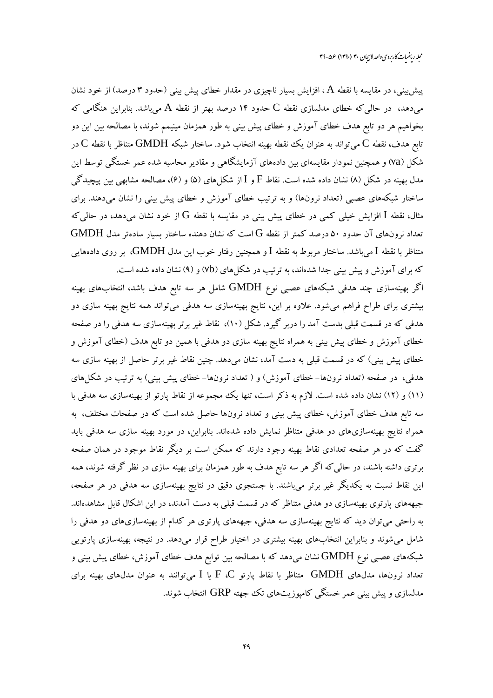پیش بینی، در مقایسه با نقطه A، افزایش بسیار ناچیزی در مقدار خطای پیش بینی (حدود ۳ درصد) از خود نشان می دهد، در حالی که خطای مدلسازی نقطه  ${\rm C}$  حدود ۱۴ درصد بهتر از نقطه  ${\rm A}$  می باشد. بنابراین هنگامی که بخواهیم هر دو تابع هدف خطای آموزش و خطای پیش بینی به طور همزمان مینیمم شوند، با مصالحه بین این دو تابع هدف، نقطه C می تواند به عنوان یک نقطه بهینه انتخاب شود. ساختار شبکه  $\rm GMDH$  متناظر با نقطه C در شکل (۷a) و همچنین نمودار مقایسهای بین دادههای آزمایشگاهی و مقادیر محاسبه شده عمر خستگی توسط این مدل بهینه در شکل (۸) نشان داده شده است. نقاط F و I از شکلهای (۵) و (۶)، مصالحه مشابهی بین پیچیدگی ساختار شبکههای عصبی (تعداد نرونها) و به ترتیب خطای آموزش و خطای پیش بینی را نشان میدهند. برای مثال، نقطه I افزایش خیلی کمی در خطای پیش بینی در مقایسه با نقطه  ${\rm G}$  از خود نشان میدهد، در حالی که GMDH نرونهای آن حدود ۵۰ درصد کمتر از نقطه G است که نشان دهنده ساختار بسیار سادهتر مدل  $\operatorname{GMDH}$ متناظر با نقطه I می باشد. ساختار مربوط به نقطه I و همچنین رفتار خوب این مدل GMDH، بر روی دادههایی که برای آموزش و پیش بینی جدا شدهاند، به ترتیب در شکل های (vb) و (۹) نشان داده شده است.

اگر بهینهسازی چند هدفی شبکههای عصبی نوع  $\operatorname{GMDH}$  شامل هر سه تابع هدف باشد، انتخابهای بهینه بیشتری برای طراح فراهم میشود. علاوه بر این، نتایج بهینهسازی سه هدفی میتواند همه نتایج بهینه سازی دو هدفی که در قسمت قبلی بدست آمد را دربر گیرد. شکل (۱۰)، نقاط غیر برتر بهینهسازی سه هدفی را در صفحه خطای آموزش و خطای پیش بینی به همراه نتایج بهینه سازی دو هدفی با همین دو تابع هدف (خطای آموزش و خطای پیش بینی) که در قسمت قبلی به دست آمد، نشان میدهد. چنین نقاط غیر برتر حاصل از بهینه سازی سه هدفی، در صفحه (تعداد نرونها– خطای آموزش) و ( تعداد نرونها– خطای پیش بینی) به ترتیب در شکلهای (١١) و (١٢) نشان داده شده است. لازم به ذکر است، تنها یک مجموعه از نقاط پارتو از بهینهسازی سه هدفی با سه تابع هدف خطای آموزش، خطای پیش بینی و تعداد نرونها حاصل شده است که در صفحات مختلف، به همراه نتایج بهینهسازیهای دو هدفی متناظر نمایش داده شدهاند. بنابراین، در مورد بهینه سازی سه هدفی باید گفت که در هر صفحه تعدادی نقاط بهینه وجود دارند که ممکن است بر دیگر نقاط موجود در همان صفحه برتری داشته باشند، در حالی که اگر هر سه تابع هدف به طور همزمان برای بهینه سازی در نظر گرفته شوند، همه این نقاط نسبت به یکدیگر غیر برتر میباشند. با جستجوی دقیق در نتایج بهینهسازی سه هدفی در هر صفحه، جبهههای پارتوی بهینهسازی دو هدفی متناظر که در قسمت قبلی به دست آمدند، در این اشکال قابل مشاهدهاند. به راحتی می توان دید که نتایج بهینهسازی سه هدفی، جبهههای پارتوی هر کدام از بهینهسازیهای دو هدفی را شامل میشوند و بنابراین انتخابهای بهینه بیشتری در اختیار طراح قرار میدهد. در نتیجه، بهینهسازی پارتویی شبکههای عصبی نوع GMDH نشان میدهد که با مصالحه بین توابع هدف خطای آموزش، خطای پیش بینی و تعداد نرونها، مدلهای  $\operatorname{GMDH}$  متناظر با نقاط یارتو  $\operatorname{F}$  یا  $\operatorname{F}$  می توانند به عنوان مدلهای بهینه برای مدلسازی و پیش بینی عمر خستگی کامپوزیتهای تک جهته GRP انتخاب شوند.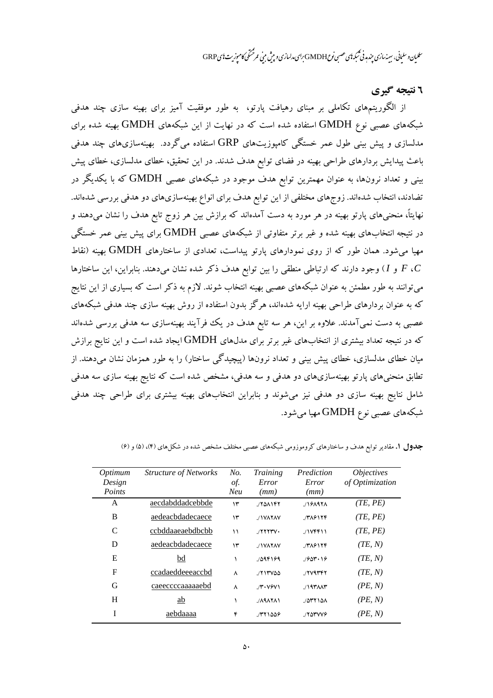سلىيان وسلىانى، سىنەنازى جندىدنى ئىكمەنى ئىمىسى نوع GMDH براى مدلسازى و پېش مېر ئىم ئىم كامبوزىت نى GRP

## **2 نتيجه گډي**

از الگوریتمهای تکاملی بر مبنای رهیافت پارتو، به طور موفقیت آمیز برای بهینه سازی چند هدفی شبکههای عصبی نوع GMDH استفاده شده است که در نهایت از این شبکههای GMDH بهینه شده برای مدلسازی و پیش بینی طول عمر خستگی کامپوزیتهای GRP استفاده میگردد. بهینهسازیهای چند هدفی باعث پیدایش بردارهای طراحی بهینه در فضای توابع هدف شدند. در این تحقیق، خطای مدلسازی، خطای پیش بینی و تعداد نرونها، به عنوان مهمترین توابع هدف موجود در شبکههای عصبی GMDH که با یکدیگر در تضادند، انتخاب شدهاند. زوجهای مختلفی از این توابع هدف برای انواع بهینهسازیهای دو هدفی بررسی شدهاند. نهایتاً، منحنیهای پارتو بهینه در هر مورد به دست آمدهاند که برازش بین هر زوج تابع هدف را نشان میدهند و در نتیجه انتخابهای بهینه شده و غیر برتر متفاوتی از شبکههای عصبی GMDH برای پیش بینی عمر خستگی مهیا می شود. همان طور که از روی نمودارهای پارتو پیداست، تعدادی از ساختارهای GMDH بهینه (نقاط و I) وجود دارند که ارتباطی منطقی را بین توابع هدف ذکر شده نشان میدهند. بنابراین، این ساختارها  $F$  ،  $C$ میتوانند به طور مطمئن به عنوان شبکههای عصبی بهینه انتخاب شوند. لازم به ذکر است که بسیاری از این نتایج که به عنوان بردارهای طراحی بهینه ارایه شدهاند، هرگز بدون استفاده از روش بهینه سازی چند هدفی شبکههای عصبی به دست نمیآمدند. علاوه بر این، هر سه تابع هدف در یک فرآیند بهینهسازی سه هدفی بررسی شدهاند که در نتیجه تعداد بیشتری از انتخابهای غیر برتر برای مدلهای GMDH ایجاد شده است و این نتایج برازش میان خطای مدلسازی، خطای پیش بینی و تعداد نرونها (پیچیدگی ساختار) را به طور همزمان نشان میدهند. از تطابق منحنیهای پارتو بهینهسازیهای دو هدفی و سه هدفی، مشخص شده است که نتایج بهینه سازی سه هدفی شامل نتایج بهینه سازی دو هدفی نیز میشوند و بنابراین انتخابهای بهینه بیشتری برای طراحی چند هدفی شبکههای عصبی نوع GMDH مهیا میشود.

| Optimum<br>Design<br>Points | <b>Structure of Networks</b> | No.<br>of.<br>Neu | <i>Training</i><br>Error<br>(mm) | Prediction<br>Error<br>(mm) | <i>Objectives</i><br>of Optimization |
|-----------------------------|------------------------------|-------------------|----------------------------------|-----------------------------|--------------------------------------|
| A                           | aecdabddadcebbde             | ۱۳                | 1701147                          | 19097                       | (TE, PE)                             |
| B                           | aedeacbdadecaece             | ۱۳                | VIVAYAV                          | 1719118                     | (TE, PE)                             |
| C                           | ccbddaaeaebdbcbb             | ۱۱                | 177777.                          | <b>۱۷۴۴۱۱.</b>              | (TE, PE)                             |
| D                           | aedeacbdadecaece             | ۱۳                | VIVAYAV                          | 1719118                     | (TE, N)                              |
| Е                           | bd                           |                   | 1098199                          | 1901.19                     | (TE, N)                              |
| F                           | ccadaeddeeeaccbd             | $\lambda$         | 171500                           | 1779347                     | (TE, N)                              |
| G                           | caeeccccaaaaaebd             | ٨                 | $Y \cdot VY$                     | 197                         | (PE, N)                              |
| H                           | $\underline{ab}$             |                   | <b>AAAYA</b>                     | 100110A                     | (PE, N)                              |
| I                           | aebdaaaa                     | ۴                 | 171009                           | 1707009                     | (PE, N)                              |
|                             |                              |                   |                                  |                             |                                      |

جدول ۱. مقادیر توابع هدف و ساختارهای کروموزومی شبکههای عصبی مختلف مشخص شده در شکا های (۴)، (۵) و (۶)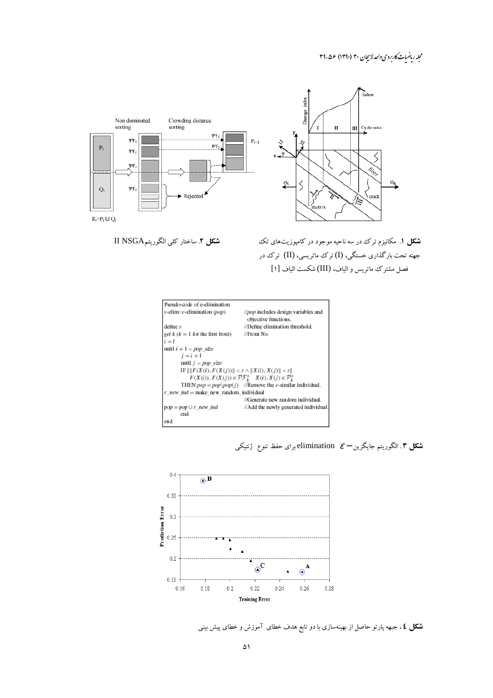مجله ریاضیات کاربردی واحد لاسچان ۳۰ (۱۳۹۰) ع۵-۳۹



نشكل ٢. ساختار كلي الكوريتم II NSGA

**شکل ۱**. مکانیزم ترک در سه ناحیه موجود در کامپوزیتهای تک جهته تحت بارگذاری خستگی، (I) ترک ماتریسی، (II) ترک در فصل مشترك ماتريس و الياف، (III) شكست الياف [۱]



**شکل ۳** . الگوریتم جایگزین — elimination *E*برای حفظ تنوع ژنتیکی



**شکل ٤.** جبهه پارتو حاصل از بهینهسازی با دو تابع هدف خطای آموزش و خطای پیش بینی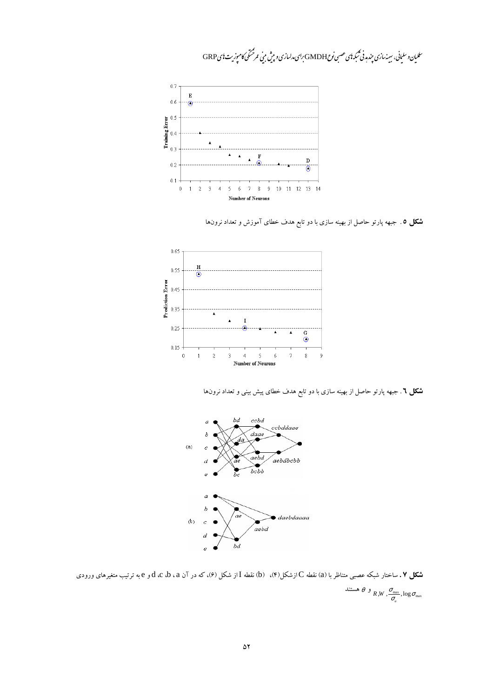

سلىيان وسليانى، بىيەنىيازى چندىدنى ئىبكەنىي عىسى نوع GMDH براى مدلسازى و بېش مېنى عرفځىڭى كامىيەزىت نى GRP

**شکل ٥** . جبهه پارتو حاصل از بهینه سازی با دو تابع هدف خطای آموزش و تعداد نرونها



**شکل ٦** . جبهه پارتو حاصل از بهینه سازی با دو تابع هدف خطای پیش بینی و تعداد نرونها



**شکل ۷ .** ساختار شبکه عصبی متناظر با (a) نقطه C ازشکل(۴)، (b) نقطه I از شکل (۶)، که در آن d ،c ،b ، a و e به ترتیب متغیرهای ورودی هستند  $\theta$  ،  $\theta$  ,  $\frac{\sigma_{\text{max}}}{\sigma_u}, \log \sigma_{\text{max}}$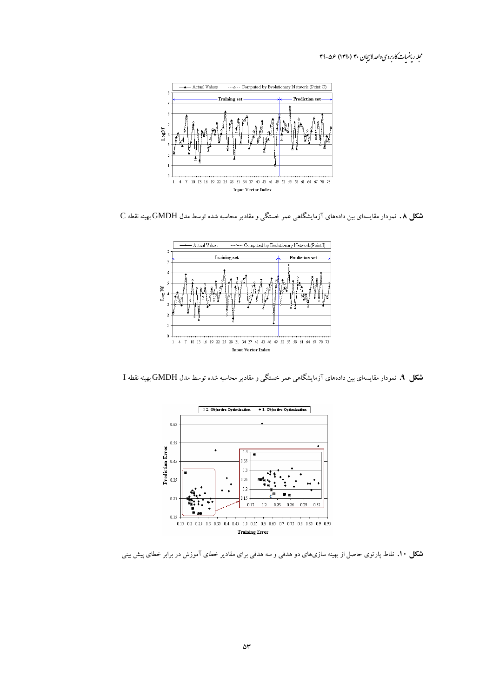## مجله رياضيات كاربردي واحد لاسجان ٣٠ (١٣٩٠) عر٥-٣٩



شکل ۸. نمودار مقایسهای بین دادههای آزمایشگاهی عمر خستگی و مقادیر محاسبه شده توسط مدل GMDH بهینه نقطه C



شکل ۹. نمودار مقایسهای بین دادههای آزمایشگاهی عمر خستگی و مقادیر محاسبه شده توسط مدل GMDH بهینه نقطه I



**شکل ۱۰.** نقاط پارتوی حاصل از بهینه سازیهای دو هدفی و سه هدفی برای مقادیر خطای آموزش در برابر خطای پیش بینی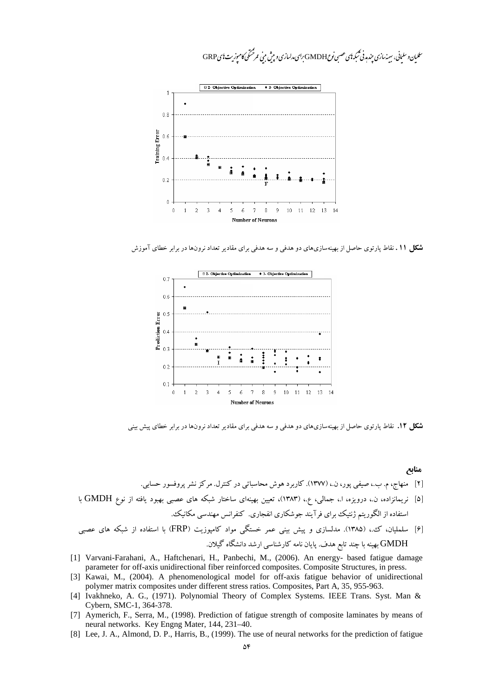



**شکل ۱۱ .** نقاط پارتوی حاصل از بهینهسازیهای دو هدفی و سه هدفی برای مقادیر تعداد نرونها در برابر خطای آموزش



**شکل ۱۲.** نقاط پارتوی حاصل از بهینهسازیهای دو هدفی و سه هدفی برای مقادیر تعداد نرونها در برابر خطای پیش بینی

### منابع

- [۲] منهاج، م. ب.، صیفی پور، ن.، (۱۳۷۷). کاربرد هوش محاسباتی در کنترل. مرکز نشر پروفسور حسابے .
- [۵] نریمانزاده، ن.، درویزه، ا.، جمالی، ع.، (۱۳۸۳)، تعیین بهینهای ساختار شبکه های عصبی بهبود یافته از نوع GMDH با استفاده از الگوریتم ژنتیک برای فرآیند جوشکاری انفجاری. کنفرانس مهندسی مکانیک.
- [۶] سلملیان، ک،. (۱۳۸۵). مدلسازی و پیش بینی عمر خستگی مواد کامپوزیت (FRP) با استفاده از شبکه های عصبی GMDH بهینه با چند تابع هدف. پایان نامه کارشناسی ارشد دانشگاه گیلان.
- [1] Varvani-Farahani, A., Haftchenari, H., Panbechi, M., (2006). An energy- based fatigue damage parameter for off-axis unidirectional fiber reinforced composites. Composite Structures, in press.
- [3] Kawai, M., (2004). A phenomenological model for off-axis fatigue behavior of unidirectional polymer matrix composites under different stress ratios. Composites, Part A, 35, 955-963.
- [4] Ivakhneko, A. G., (1971). Polynomial Theory of Complex Systems. IEEE Trans. Syst. Man & Cybern, SMC-1, 364-378.
- [7] Aymerich, F., Serra, M., (1998). Prediction of fatigue strength of composite laminates by means of neural networks. Key Engng Mater, 144, 231-40.
- [8] Lee, J. A., Almond, D. P., Harris, B., (1999). The use of neural networks for the prediction of fatigue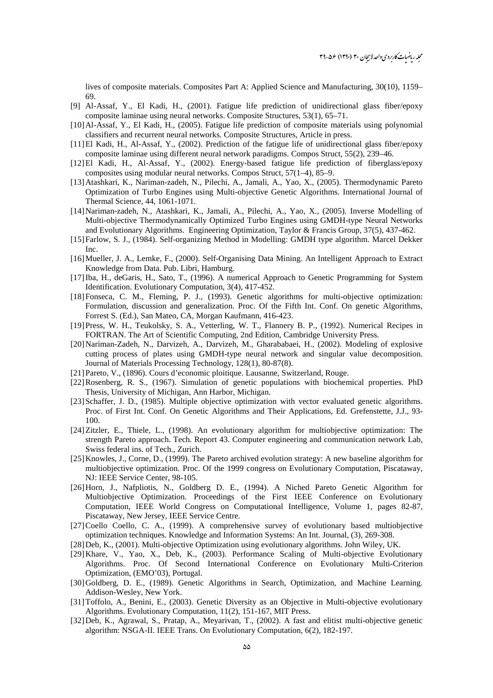lives of composite materials. Composites Part A: Applied Science and Manufacturing, 30(10), 1159– 69.

- [9] Al-Assaf, Y., El Kadi, H., (2001). Fatigue life prediction of unidirectional glass fiber/epoxy composite laminae using neural networks. Composite Structures, 53(1), 65–71.
- [10]Al-Assaf, Y., El Kadi, H., (2005). Fatigue life prediction of composite materials using polynomial classifiers and recurrent neural networks. Composite Structures, Article in press.
- [11]El Kadi, H., Al-Assaf, Y., (2002). Prediction of the fatigue life of unidirectional glass fiber/epoxy composite laminae using different neural network paradigms. Compos Struct, 55(2), 239–46.
- [12]El Kadi, H., Al-Assaf, Y., (2002). Energy-based fatigue life prediction of fiberglass/epoxy composites using modular neural networks. Compos Struct, 57(1–4), 85–9.
- [13]Atashkari, K., Nariman-zadeh, N., Pilechi, A., Jamali, A., Yao, X., (2005). Thermodynamic Pareto Optimization of Turbo Engines using Multi-objective Genetic Algorithms. International Journal of Thermal Science, 44, 1061-1071.
- [14]Nariman-zadeh, N., Atashkari, K., Jamali, A., Pilechi, A., Yao, X., (2005). Inverse Modelling of Multi-objective Thermodynamically Optimized Turbo Engines using GMDH-type Neural Networks and Evolutionary Algorithms. Engineering Optimization, Taylor & Francis Group, 37(5), 437-462.
- [15]Farlow, S. J., (1984). Self-organizing Method in Modelling: GMDH type algorithm. Marcel Dekker Inc.
- [16]Mueller, J. A., Lemke, F., (2000). Self-Organising Data Mining. An Intelligent Approach to Extract Knowledge from Data. Pub. Libri, Hamburg.
- [17]Iba, H., deGaris, H., Sato, T., (1996). A numerical Approach to Genetic Programming for System Identification. Evolutionary Computation, 3(4), 417-452.
- [18]Fonseca, C. M., Fleming, P. J., (1993). Genetic algorithms for multi-objective optimization: Formulation, discussion and generalization. Proc. Of the Fifth Int. Conf. On genetic Algorithms, Forrest S. (Ed.), San Mateo, CA, Morgan Kaufmann, 416-423.
- [19]Press, W. H., Teukolsky, S. A., Vetterling, W. T., Flannery B. P., (1992). Numerical Recipes in FORTRAN. The Art of Scientific Computing, 2nd Edition, Cambridge University Press.
- [20]Nariman-Zadeh, N., Darvizeh, A., Darvizeh, M., Gharababaei, H., (2002). Modeling of explosive cutting process of plates using GMDH-type neural network and singular value decomposition. Journal of Materials Processing Technology, 128(1), 80-87(8).
- [21]Pareto, V., (1896). Cours d'economic ploitique. Lausanne, Switzerland, Rouge.
- [22]Rosenberg, R. S., (1967). Simulation of genetic populations with biochemical properties. PhD Thesis, University of Michigan, Ann Harbor, Michigan.
- [23] Schaffer, J. D., (1985). Multiple objective optimization with vector evaluated genetic algorithms. Proc. of First Int. Conf. On Genetic Algorithms and Their Applications, Ed. Grefenstette, J.J., 93- 100.
- [24]Zitzler, E., Thiele, L., (1998). An evolutionary algorithm for multiobjective optimization: The strength Pareto approach. Tech. Report 43. Computer engineering and communication network Lab, Swiss federal ins. of Tech., Zurich.
- [25]Knowles, J., Corne, D., (1999). The Pareto archived evolution strategy: A new baseline algorithm for multiobjective optimization. Proc. Of the 1999 congress on Evolutionary Computation, Piscataway, NJ: IEEE Service Center, 98-105.
- [26]Horn, J., Nafpliotis, N., Goldberg D. E., (1994). A Niched Pareto Genetic Algorithm for Multiobjective Optimization. Proceedings of the First IEEE Conference on Evolutionary Computation, IEEE World Congress on Computational Intelligence, Volume 1, pages 82-87, Piscataway, New Jersey, IEEE Service Centre.
- [27]Coello Coello, C. A., (1999). A comprehensive survey of evolutionary based multiobjective optimization techniques. Knowledge and Information Systems: An Int. Journal, (3), 269-308.
- [28]Deb, K., (2001). Multi-objective Optimization using evolutionary algorithms. John Wiley, UK.
- [29]Khare, V., Yao, X., Deb, K., (2003). Performance Scaling of Multi-objective Evolutionary Algorithms. Proc. Of Second International Conference on Evolutionary Multi-Criterion Optimization, (EMO'03), Portugal.
- [30]Goldberg, D. E., (1989). Genetic Algorithms in Search, Optimization, and Machine Learning. Addison-Wesley, New York.
- [31]Toffolo, A., Benini, E., (2003). Genetic Diversity as an Objective in Multi-objective evolutionary Algorithms. Evolutionary Computation, 11(2), 151-167, MIT Press.
- [32]Deb, K., Agrawal, S., Pratap, A., Meyarivan, T., (2002). A fast and elitist multi-objective genetic algorithm: NSGA-II. IEEE Trans. On Evolutionary Computation, 6(2), 182-197.